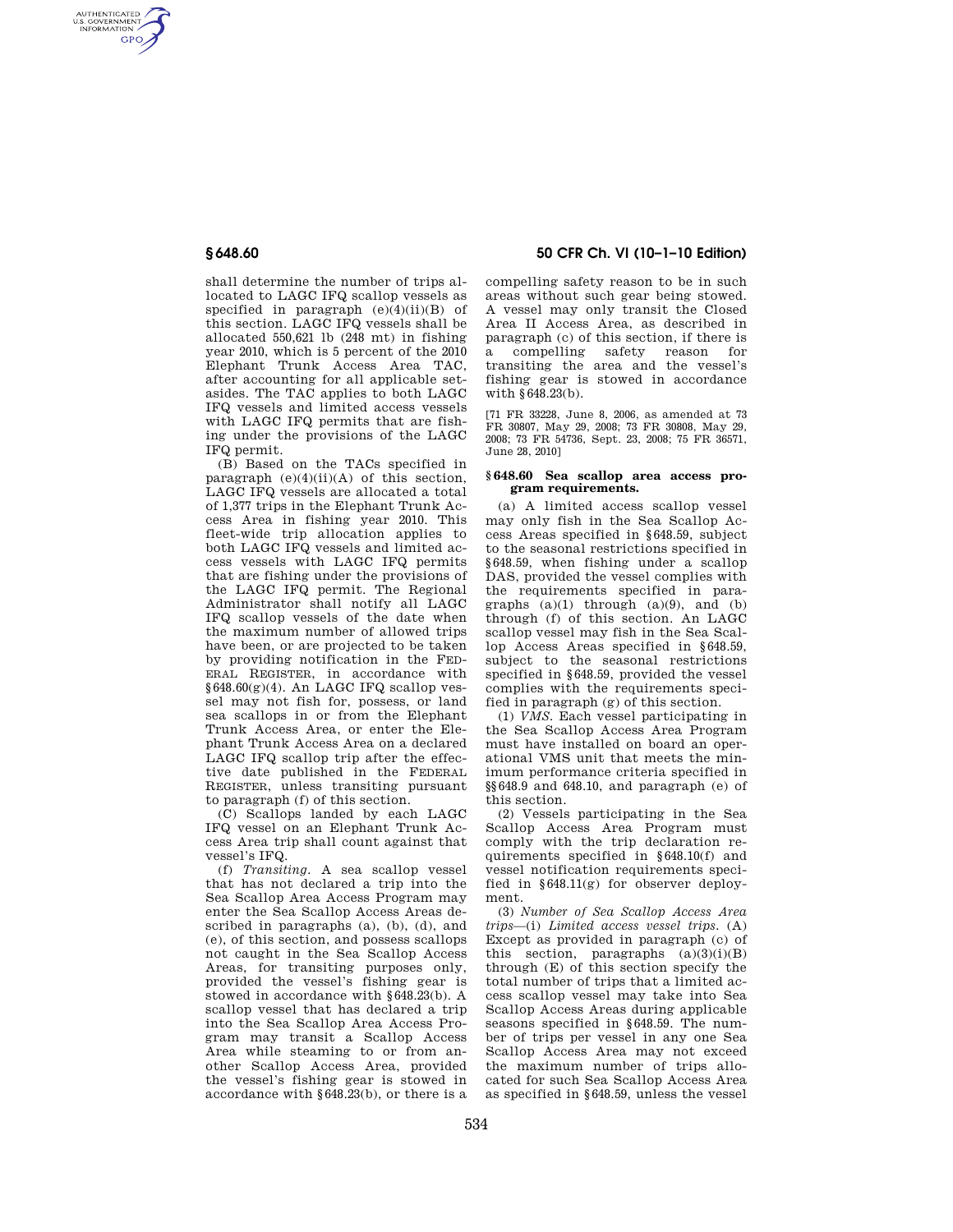AUTHENTICATED<br>U.S. GOVERNMENT<br>INFORMATION **GPO** 

> shall determine the number of trips allocated to LAGC IFQ scallop vessels as specified in paragraph (e)(4)(ii)(B) of this section. LAGC IFQ vessels shall be allocated 550,621 lb (248 mt) in fishing year 2010, which is 5 percent of the 2010 Elephant Trunk Access Area TAC, after accounting for all applicable setasides. The TAC applies to both LAGC IFQ vessels and limited access vessels with LAGC IFQ permits that are fishing under the provisions of the LAGC IFQ permit.

> (B) Based on the TACs specified in paragraph  $(e)(4)(ii)(A)$  of this section. LAGC IFQ vessels are allocated a total of 1,377 trips in the Elephant Trunk Access Area in fishing year 2010. This fleet-wide trip allocation applies to both LAGC IFQ vessels and limited access vessels with LAGC IFQ permits that are fishing under the provisions of the LAGC IFQ permit. The Regional Administrator shall notify all LAGC IFQ scallop vessels of the date when the maximum number of allowed trips have been, or are projected to be taken by providing notification in the FED-ERAL REGISTER, in accordance with  $§648.60(g)(4)$ . An LAGC IFQ scallop vessel may not fish for, possess, or land sea scallops in or from the Elephant Trunk Access Area, or enter the Elephant Trunk Access Area on a declared LAGC IFQ scallop trip after the effective date published in the FEDERAL REGISTER, unless transiting pursuant to paragraph (f) of this section.

(C) Scallops landed by each LAGC IFQ vessel on an Elephant Trunk Access Area trip shall count against that vessel's IFQ.

(f) *Transiting.* A sea scallop vessel that has not declared a trip into the Sea Scallop Area Access Program may enter the Sea Scallop Access Areas described in paragraphs (a), (b), (d), and (e), of this section, and possess scallops not caught in the Sea Scallop Access Areas, for transiting purposes only, provided the vessel's fishing gear is stowed in accordance with §648.23(b). A scallop vessel that has declared a trip into the Sea Scallop Area Access Program may transit a Scallop Access Area while steaming to or from another Scallop Access Area, provided the vessel's fishing gear is stowed in accordance with §648.23(b), or there is a

# **§ 648.60 50 CFR Ch. VI (10–1–10 Edition)**

compelling safety reason to be in such areas without such gear being stowed. A vessel may only transit the Closed Area II Access Area, as described in paragraph (c) of this section, if there is a compelling safety reason for transiting the area and the vessel's fishing gear is stowed in accordance with §648.23(b).

[71 FR 33228, June 8, 2006, as amended at 73 FR 30807, May 29, 2008; 73 FR 30808, May 29, 2008; 73 FR 54736, Sept. 23, 2008; 75 FR 36571, June 28, 2010]

### **§ 648.60 Sea scallop area access program requirements.**

(a) A limited access scallop vessel may only fish in the Sea Scallop Access Areas specified in §648.59, subject to the seasonal restrictions specified in §648.59, when fishing under a scallop DAS, provided the vessel complies with the requirements specified in paragraphs  $(a)(1)$  through  $(a)(9)$ , and  $(b)$ through (f) of this section. An LAGC scallop vessel may fish in the Sea Scallop Access Areas specified in §648.59, subject to the seasonal restrictions specified in §648.59, provided the vessel complies with the requirements specified in paragraph (g) of this section.

(1) *VMS.* Each vessel participating in the Sea Scallop Access Area Program must have installed on board an operational VMS unit that meets the minimum performance criteria specified in §§648.9 and 648.10, and paragraph (e) of this section.

(2) Vessels participating in the Sea Scallop Access Area Program must comply with the trip declaration requirements specified in §648.10(f) and vessel notification requirements specified in §648.11(g) for observer deployment.

(3) *Number of Sea Scallop Access Area trips*—(i) *Limited access vessel trips.* (A) Except as provided in paragraph (c) of this section, paragraphs  $(a)(3)(i)(B)$ through (E) of this section specify the total number of trips that a limited access scallop vessel may take into Sea Scallop Access Areas during applicable seasons specified in §648.59. The number of trips per vessel in any one Sea Scallop Access Area may not exceed the maximum number of trips allocated for such Sea Scallop Access Area as specified in §648.59, unless the vessel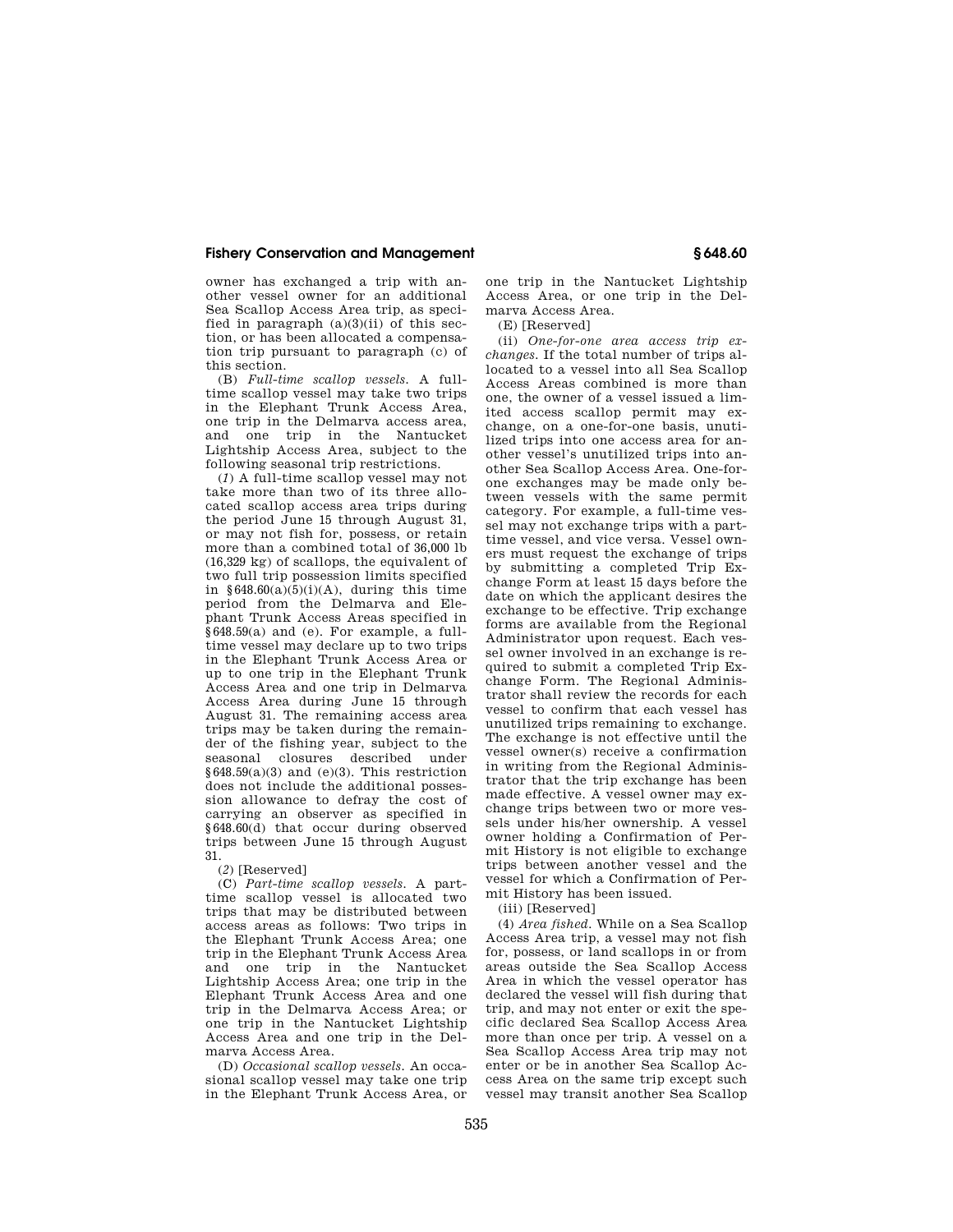owner has exchanged a trip with another vessel owner for an additional Sea Scallop Access Area trip, as specified in paragraph  $(a)(3)(ii)$  of this section, or has been allocated a compensation trip pursuant to paragraph (c) of this section.

(B) *Full-time scallop vessels.* A fulltime scallop vessel may take two trips in the Elephant Trunk Access Area, one trip in the Delmarva access area,<br>and one trip in the Nantucket and one trip in the Lightship Access Area, subject to the following seasonal trip restrictions.

(*1*) A full-time scallop vessel may not take more than two of its three allocated scallop access area trips during the period June 15 through August 31, or may not fish for, possess, or retain more than a combined total of 36,000 lb (16,329 kg) of scallops, the equivalent of two full trip possession limits specified in  $§648.60(a)(5)(i)(A)$ , during this time period from the Delmarva and Elephant Trunk Access Areas specified in §648.59(a) and (e). For example, a fulltime vessel may declare up to two trips in the Elephant Trunk Access Area or up to one trip in the Elephant Trunk Access Area and one trip in Delmarva Access Area during June 15 through August 31. The remaining access area trips may be taken during the remainder of the fishing year, subject to the seasonal closures described under  $§648.59(a)(3)$  and (e)(3). This restriction does not include the additional possession allowance to defray the cost of carrying an observer as specified in §648.60(d) that occur during observed trips between June 15 through August 31.

(*2*) [Reserved]

(C) *Part-time scallop vessels.* A parttime scallop vessel is allocated two trips that may be distributed between access areas as follows: Two trips in the Elephant Trunk Access Area; one trip in the Elephant Trunk Access Area and one trip in the Nantucket Lightship Access Area; one trip in the Elephant Trunk Access Area and one trip in the Delmarva Access Area; or one trip in the Nantucket Lightship Access Area and one trip in the Delmarva Access Area.

(D) *Occasional scallop vessels.* An occasional scallop vessel may take one trip in the Elephant Trunk Access Area, or

one trip in the Nantucket Lightship Access Area, or one trip in the Delmarva Access Area.

(E) [Reserved]

(ii) *One-for-one area access trip exchanges.* If the total number of trips allocated to a vessel into all Sea Scallop Access Areas combined is more than one, the owner of a vessel issued a limited access scallop permit may exchange, on a one-for-one basis, unutilized trips into one access area for another vessel's unutilized trips into another Sea Scallop Access Area. One-forone exchanges may be made only between vessels with the same permit category. For example, a full-time vessel may not exchange trips with a parttime vessel, and vice versa. Vessel owners must request the exchange of trips by submitting a completed Trip Exchange Form at least 15 days before the date on which the applicant desires the exchange to be effective. Trip exchange forms are available from the Regional Administrator upon request. Each vessel owner involved in an exchange is required to submit a completed Trip Exchange Form. The Regional Administrator shall review the records for each vessel to confirm that each vessel has unutilized trips remaining to exchange. The exchange is not effective until the vessel owner(s) receive a confirmation in writing from the Regional Administrator that the trip exchange has been made effective. A vessel owner may exchange trips between two or more vessels under his/her ownership. A vessel owner holding a Confirmation of Permit History is not eligible to exchange trips between another vessel and the vessel for which a Confirmation of Permit History has been issued.

(iii) [Reserved]

(4) *Area fished.* While on a Sea Scallop Access Area trip, a vessel may not fish for, possess, or land scallops in or from areas outside the Sea Scallop Access Area in which the vessel operator has declared the vessel will fish during that trip, and may not enter or exit the specific declared Sea Scallop Access Area more than once per trip. A vessel on a Sea Scallop Access Area trip may not enter or be in another Sea Scallop Access Area on the same trip except such vessel may transit another Sea Scallop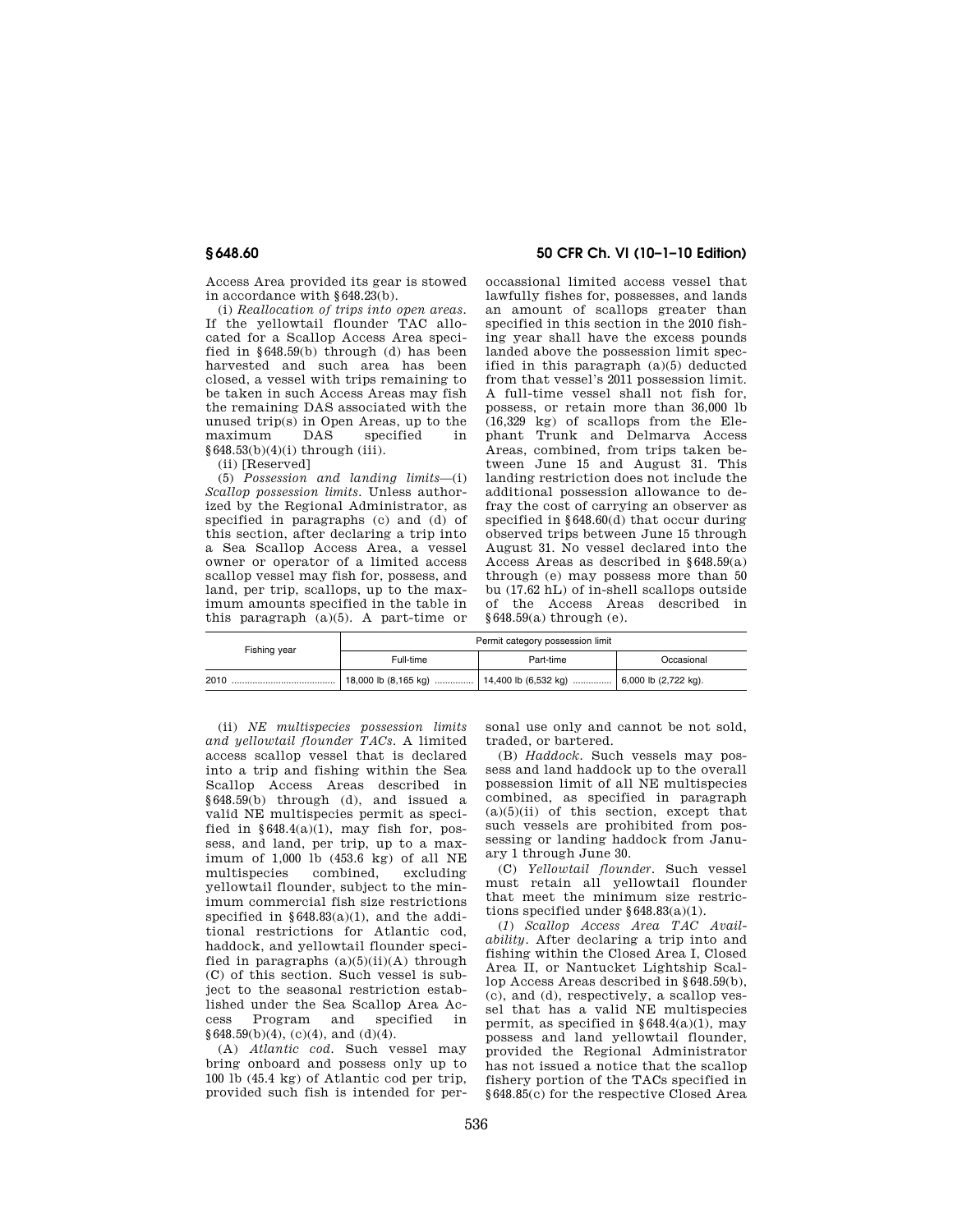Access Area provided its gear is stowed in accordance with §648.23(b).

(i) *Reallocation of trips into open areas.*  If the yellowtail flounder TAC allocated for a Scallop Access Area specified in §648.59(b) through (d) has been harvested and such area has been closed, a vessel with trips remaining to be taken in such Access Areas may fish the remaining DAS associated with the unused trip(s) in Open Areas, up to the<br>maximum DAS specified in specified §648.53(b)(4)(i) through (iii).

(ii) [Reserved]

(5) *Possession and landing limits*—(i) *Scallop possession limits.* Unless authorized by the Regional Administrator, as specified in paragraphs (c) and (d) of this section, after declaring a trip into a Sea Scallop Access Area, a vessel owner or operator of a limited access scallop vessel may fish for, possess, and land, per trip, scallops, up to the maximum amounts specified in the table in this paragraph (a)(5). A part-time or

## **§ 648.60 50 CFR Ch. VI (10–1–10 Edition)**

occassional limited access vessel that lawfully fishes for, possesses, and lands an amount of scallops greater than specified in this section in the 2010 fishing year shall have the excess pounds landed above the possession limit specified in this paragraph (a)(5) deducted from that vessel's 2011 possession limit. A full-time vessel shall not fish for, possess, or retain more than 36,000 lb (16,329 kg) of scallops from the Elephant Trunk and Delmarva Access Areas, combined, from trips taken between June 15 and August 31. This landing restriction does not include the additional possession allowance to defray the cost of carrying an observer as specified in §648.60(d) that occur during observed trips between June 15 through August 31. No vessel declared into the Access Areas as described in §648.59(a) through (e) may possess more than 50 bu (17.62 hL) of in-shell scallops outside of the Access Areas described in  $§648.59(a)$  through  $(e)$ .

| Fishing year | Permit category possession limit |           |                          |
|--------------|----------------------------------|-----------|--------------------------|
|              | Full-time                        | Part-time | Occasional               |
| 2010         |                                  |           | $6,000$ lb $(2,722$ kg). |

(ii) *NE multispecies possession limits and yellowtail flounder TACs.* A limited access scallop vessel that is declared into a trip and fishing within the Sea Scallop Access Areas described in §648.59(b) through (d), and issued a valid NE multispecies permit as specified in  $§648.4(a)(1)$ , may fish for, possess, and land, per trip, up to a maximum of 1,000 lb (453.6 kg) of all NE multispecies combined, excluding yellowtail flounder, subject to the minimum commercial fish size restrictions specified in §648.83(a)(1), and the additional restrictions for Atlantic cod, haddock, and yellowtail flounder specified in paragraphs  $(a)(5)(ii)(A)$  through (C) of this section. Such vessel is subject to the seasonal restriction established under the Sea Scallop Area Access Program and specified in  $§648.59(b)(4)$ , (c)(4), and (d)(4).

(A) *Atlantic cod.* Such vessel may bring onboard and possess only up to 100 lb (45.4 kg) of Atlantic cod per trip, provided such fish is intended for personal use only and cannot be not sold, traded, or bartered.

(B) *Haddock.* Such vessels may possess and land haddock up to the overall possession limit of all NE multispecies combined, as specified in paragraph  $(a)(5)(ii)$  of this section, except that such vessels are prohibited from possessing or landing haddock from January 1 through June 30.

(C) *Yellowtail flounder.* Such vessel must retain all yellowtail flounder that meet the minimum size restrictions specified under §648.83(a)(1).

(*1*) *Scallop Access Area TAC Availability.* After declaring a trip into and fishing within the Closed Area I, Closed Area II, or Nantucket Lightship Scallop Access Areas described in §648.59(b), (c), and (d), respectively, a scallop vessel that has a valid NE multispecies permit, as specified in  $$648.4(a)(1)$ , may possess and land yellowtail flounder, provided the Regional Administrator has not issued a notice that the scallop fishery portion of the TACs specified in §648.85(c) for the respective Closed Area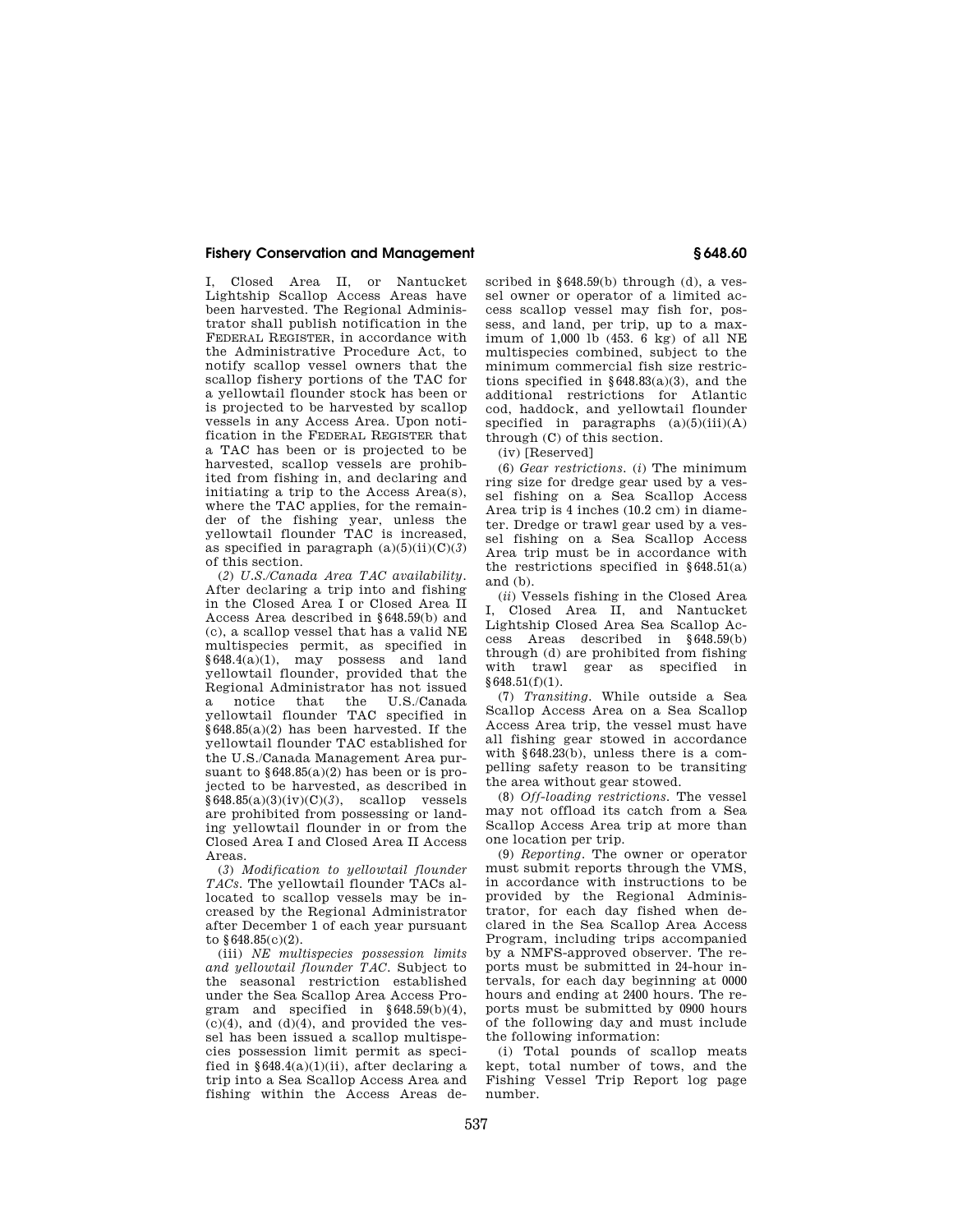I, Closed Area II, or Nantucket Lightship Scallop Access Areas have been harvested. The Regional Administrator shall publish notification in the FEDERAL REGISTER, in accordance with the Administrative Procedure Act, to notify scallop vessel owners that the scallop fishery portions of the TAC for a yellowtail flounder stock has been or is projected to be harvested by scallop vessels in any Access Area. Upon notification in the FEDERAL REGISTER that a TAC has been or is projected to be harvested, scallop vessels are prohibited from fishing in, and declaring and initiating a trip to the Access Area(s), where the TAC applies, for the remainder of the fishing year, unless the yellowtail flounder TAC is increased, as specified in paragraph  $(a)(5)(ii)(C)(3)$ of this section.

(*2*) *U.S./Canada Area TAC availability.*  After declaring a trip into and fishing in the Closed Area I or Closed Area II Access Area described in §648.59(b) and (c), a scallop vessel that has a valid NE multispecies permit, as specified in §648.4(a)(1), may possess and land yellowtail flounder, provided that the Regional Administrator has not issued a notice that the U.S./Canada yellowtail flounder TAC specified in §648.85(a)(2) has been harvested. If the yellowtail flounder TAC established for the U.S./Canada Management Area pursuant to  $§648.85(a)(2)$  has been or is projected to be harvested, as described in §648.85(a)(3)(iv)(C)(*3*), scallop vessels are prohibited from possessing or landing yellowtail flounder in or from the Closed Area I and Closed Area II Access Areas.

(*3*) *Modification to yellowtail flounder TACs.* The yellowtail flounder TACs allocated to scallop vessels may be increased by the Regional Administrator after December 1 of each year pursuant to §648.85(c)(2).

(iii) *NE multispecies possession limits and yellowtail flounder TAC.* Subject to the seasonal restriction established under the Sea Scallop Area Access Program and specified in §648.59(b)(4),  $(c)(4)$ , and  $(d)(4)$ , and provided the vessel has been issued a scallop multispecies possession limit permit as specified in  $§648.4(a)(1)(ii)$ , after declaring a trip into a Sea Scallop Access Area and fishing within the Access Areas described in §648.59(b) through (d), a vessel owner or operator of a limited access scallop vessel may fish for, possess, and land, per trip, up to a maximum of 1,000 lb (453. 6 kg) of all NE multispecies combined, subject to the minimum commercial fish size restrictions specified in  $§648.83(a)(3)$ , and the additional restrictions for Atlantic cod, haddock, and yellowtail flounder specified in paragraphs  $(a)(5)(iii)(A)$ through (C) of this section.

(iv) [Reserved]

(6) *Gear restrictions.* (*i*) The minimum ring size for dredge gear used by a vessel fishing on a Sea Scallop Access Area trip is 4 inches (10.2 cm) in diameter. Dredge or trawl gear used by a vessel fishing on a Sea Scallop Access Area trip must be in accordance with the restrictions specified in  $§648.51(a)$ and (b).

(*ii*) Vessels fishing in the Closed Area I, Closed Area II, and Nantucket Lightship Closed Area Sea Scallop Access Areas described in §648.59(b) through (d) are prohibited from fishing with trawl gear as specified in §648.51(f)(1).

(7) *Transiting.* While outside a Sea Scallop Access Area on a Sea Scallop Access Area trip, the vessel must have all fishing gear stowed in accordance with  $§648.23(b)$ , unless there is a compelling safety reason to be transiting the area without gear stowed.

(8) *Off-loading restrictions.* The vessel may not offload its catch from a Sea Scallop Access Area trip at more than one location per trip.

(9) *Reporting.* The owner or operator must submit reports through the VMS, in accordance with instructions to be provided by the Regional Administrator, for each day fished when declared in the Sea Scallop Area Access Program, including trips accompanied by a NMFS-approved observer. The reports must be submitted in 24-hour intervals, for each day beginning at 0000 hours and ending at 2400 hours. The reports must be submitted by 0900 hours of the following day and must include the following information:

(i) Total pounds of scallop meats kept, total number of tows, and the Fishing Vessel Trip Report log page number.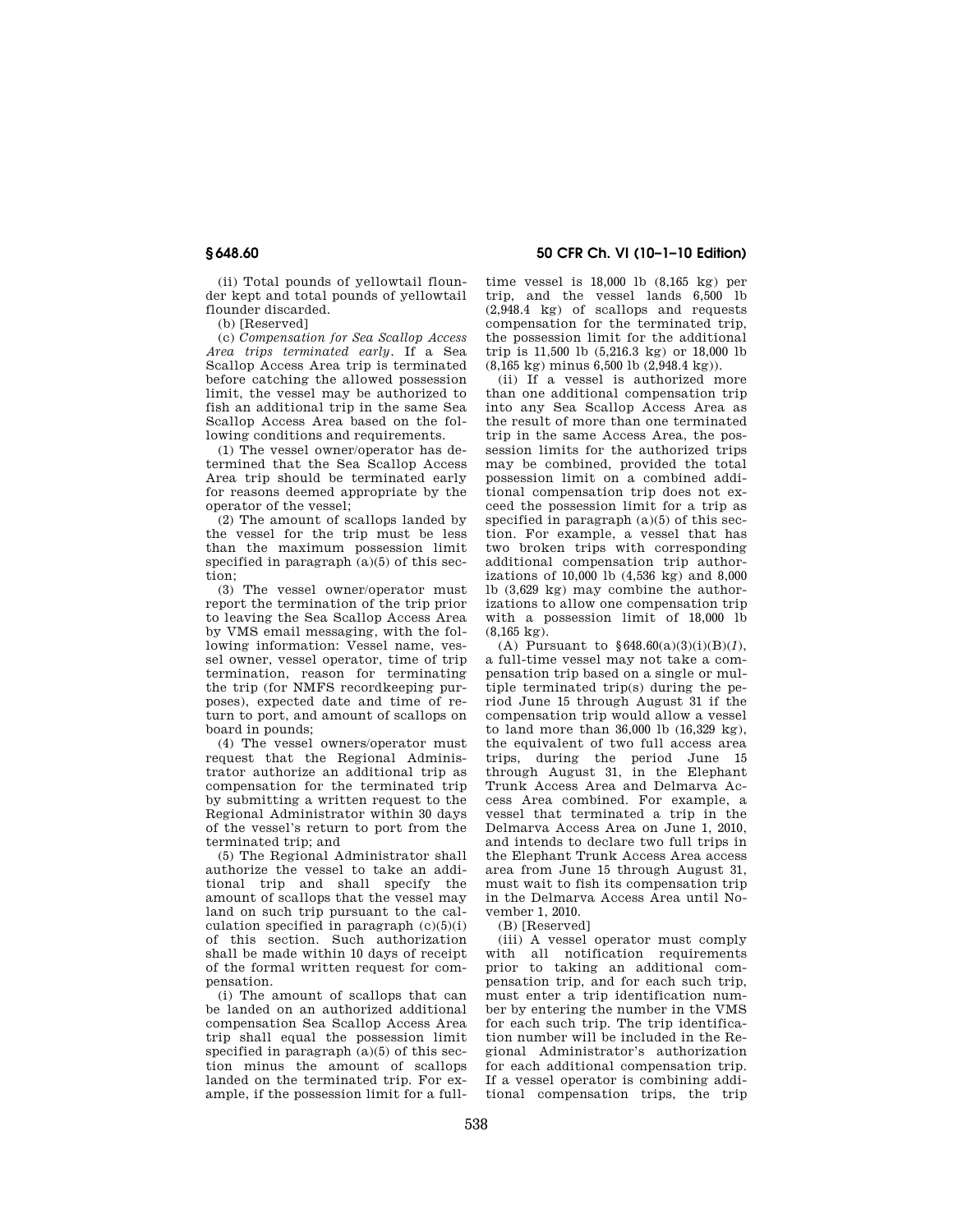(ii) Total pounds of yellowtail flounder kept and total pounds of yellowtail flounder discarded.

(b) [Reserved]

(c) *Compensation for Sea Scallop Access Area trips terminated early.* If a Sea Scallop Access Area trip is terminated before catching the allowed possession limit, the vessel may be authorized to fish an additional trip in the same Sea Scallop Access Area based on the following conditions and requirements.

(1) The vessel owner/operator has determined that the Sea Scallop Access Area trip should be terminated early for reasons deemed appropriate by the operator of the vessel;

(2) The amount of scallops landed by the vessel for the trip must be less than the maximum possession limit specified in paragraph  $(a)(5)$  of this section;

(3) The vessel owner/operator must report the termination of the trip prior to leaving the Sea Scallop Access Area by VMS email messaging, with the following information: Vessel name, vessel owner, vessel operator, time of trip termination, reason for terminating the trip (for NMFS recordkeeping purposes), expected date and time of return to port, and amount of scallops on board in pounds;

(4) The vessel owners/operator must request that the Regional Administrator authorize an additional trip as compensation for the terminated trip by submitting a written request to the Regional Administrator within 30 days of the vessel's return to port from the terminated trip; and

(5) The Regional Administrator shall authorize the vessel to take an additional trip and shall specify the amount of scallops that the vessel may land on such trip pursuant to the calculation specified in paragraph  $(c)(5)(i)$ of this section. Such authorization shall be made within 10 days of receipt of the formal written request for compensation.

(i) The amount of scallops that can be landed on an authorized additional compensation Sea Scallop Access Area trip shall equal the possession limit specified in paragraph  $(a)(5)$  of this section minus the amount of scallops landed on the terminated trip. For example, if the possession limit for a full-

## **§ 648.60 50 CFR Ch. VI (10–1–10 Edition)**

time vessel is 18,000 lb (8,165 kg) per trip, and the vessel lands 6,500 lb (2,948.4 kg) of scallops and requests compensation for the terminated trip, the possession limit for the additional trip is 11,500 lb (5,216.3 kg) or 18,000 lb (8,165 kg) minus 6,500 lb (2,948.4 kg)).

(ii) If a vessel is authorized more than one additional compensation trip into any Sea Scallop Access Area as the result of more than one terminated trip in the same Access Area, the possession limits for the authorized trips may be combined, provided the total possession limit on a combined additional compensation trip does not exceed the possession limit for a trip as specified in paragraph (a)(5) of this section. For example, a vessel that has two broken trips with corresponding additional compensation trip authorizations of 10,000 lb (4,536 kg) and 8,000 lb (3,629 kg) may combine the authorizations to allow one compensation trip with a possession limit of 18,000 lb (8,165 kg).

(A) Pursuant to §648.60(a)(3)(i)(B)(*1*), a full-time vessel may not take a compensation trip based on a single or multiple terminated trip(s) during the period June 15 through August 31 if the compensation trip would allow a vessel to land more than 36,000 lb (16,329 kg), the equivalent of two full access area trips, during the period June 15 through August 31, in the Elephant Trunk Access Area and Delmarva Access Area combined. For example, a vessel that terminated a trip in the Delmarva Access Area on June 1, 2010, and intends to declare two full trips in the Elephant Trunk Access Area access area from June 15 through August 31, must wait to fish its compensation trip in the Delmarva Access Area until November 1, 2010.

(B) [Reserved]

(iii) A vessel operator must comply with all notification requirements prior to taking an additional compensation trip, and for each such trip, must enter a trip identification number by entering the number in the VMS for each such trip. The trip identification number will be included in the Regional Administrator's authorization for each additional compensation trip. If a vessel operator is combining additional compensation trips, the trip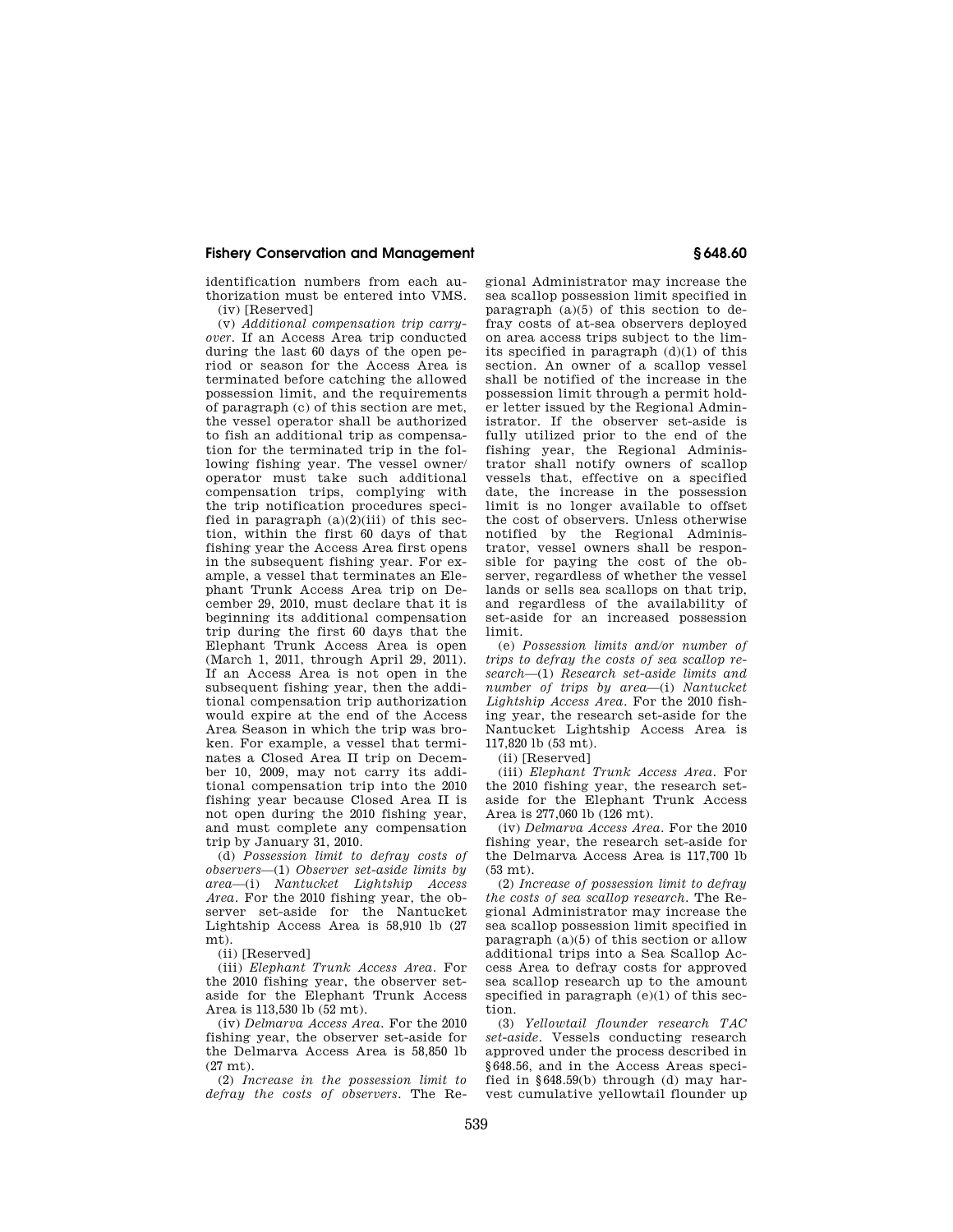identification numbers from each authorization must be entered into VMS. (iv) [Reserved]

(v) *Additional compensation trip carryover.* If an Access Area trip conducted during the last 60 days of the open period or season for the Access Area is terminated before catching the allowed possession limit, and the requirements of paragraph (c) of this section are met, the vessel operator shall be authorized to fish an additional trip as compensation for the terminated trip in the following fishing year. The vessel owner/ operator must take such additional compensation trips, complying with the trip notification procedures specified in paragraph  $(a)(2)(iii)$  of this section, within the first 60 days of that fishing year the Access Area first opens in the subsequent fishing year. For example, a vessel that terminates an Elephant Trunk Access Area trip on December 29, 2010, must declare that it is beginning its additional compensation trip during the first 60 days that the Elephant Trunk Access Area is open (March 1, 2011, through April 29, 2011). If an Access Area is not open in the subsequent fishing year, then the additional compensation trip authorization would expire at the end of the Access Area Season in which the trip was broken. For example, a vessel that terminates a Closed Area II trip on December 10, 2009, may not carry its additional compensation trip into the 2010 fishing year because Closed Area II is not open during the 2010 fishing year, and must complete any compensation trip by January 31, 2010.

(d) *Possession limit to defray costs of observers*—(1) *Observer set-aside limits by area*—(i) *Nantucket Lightship Access Area.* For the 2010 fishing year, the observer set-aside for the Nantucket Lightship Access Area is 58,910 lb (27 mt).

(ii) [Reserved]

(iii) *Elephant Trunk Access Area.* For the 2010 fishing year, the observer setaside for the Elephant Trunk Access Area is 113,530 lb (52 mt).

(iv) *Delmarva Access Area.* For the 2010 fishing year, the observer set-aside for the Delmarva Access Area is 58,850 lb  $(27 \text{ mt.})$ 

(2) *Increase in the possession limit to defray the costs of observers.* The Regional Administrator may increase the sea scallop possession limit specified in paragraph  $(a)(5)$  of this section to defray costs of at-sea observers deployed on area access trips subject to the limits specified in paragraph (d)(1) of this section. An owner of a scallop vessel shall be notified of the increase in the possession limit through a permit holder letter issued by the Regional Administrator. If the observer set-aside is fully utilized prior to the end of the fishing year, the Regional Administrator shall notify owners of scallop vessels that, effective on a specified date, the increase in the possession limit is no longer available to offset the cost of observers. Unless otherwise notified by the Regional Administrator, vessel owners shall be responsible for paying the cost of the observer, regardless of whether the vessel lands or sells sea scallops on that trip, and regardless of the availability of set-aside for an increased possession limit.

(e) *Possession limits and/or number of trips to defray the costs of sea scallop research*—(1) *Research set-aside limits and number of trips by area*—(i) *Nantucket Lightship Access Area.* For the 2010 fishing year, the research set-aside for the Nantucket Lightship Access Area is 117,820 lb (53 mt).

(ii) [Reserved]

(iii) *Elephant Trunk Access Area.* For the 2010 fishing year, the research setaside for the Elephant Trunk Access Area is 277,060 lb (126 mt).

(iv) *Delmarva Access Area.* For the 2010 fishing year, the research set-aside for the Delmarva Access Area is 117,700 lb (53 mt).

(2) *Increase of possession limit to defray the costs of sea scallop research.* The Regional Administrator may increase the sea scallop possession limit specified in paragraph (a)(5) of this section or allow additional trips into a Sea Scallop Access Area to defray costs for approved sea scallop research up to the amount specified in paragraph  $(e)(1)$  of this section.

(3) *Yellowtail flounder research TAC set-aside.* Vessels conducting research approved under the process described in §648.56, and in the Access Areas specified in §648.59(b) through (d) may harvest cumulative yellowtail flounder up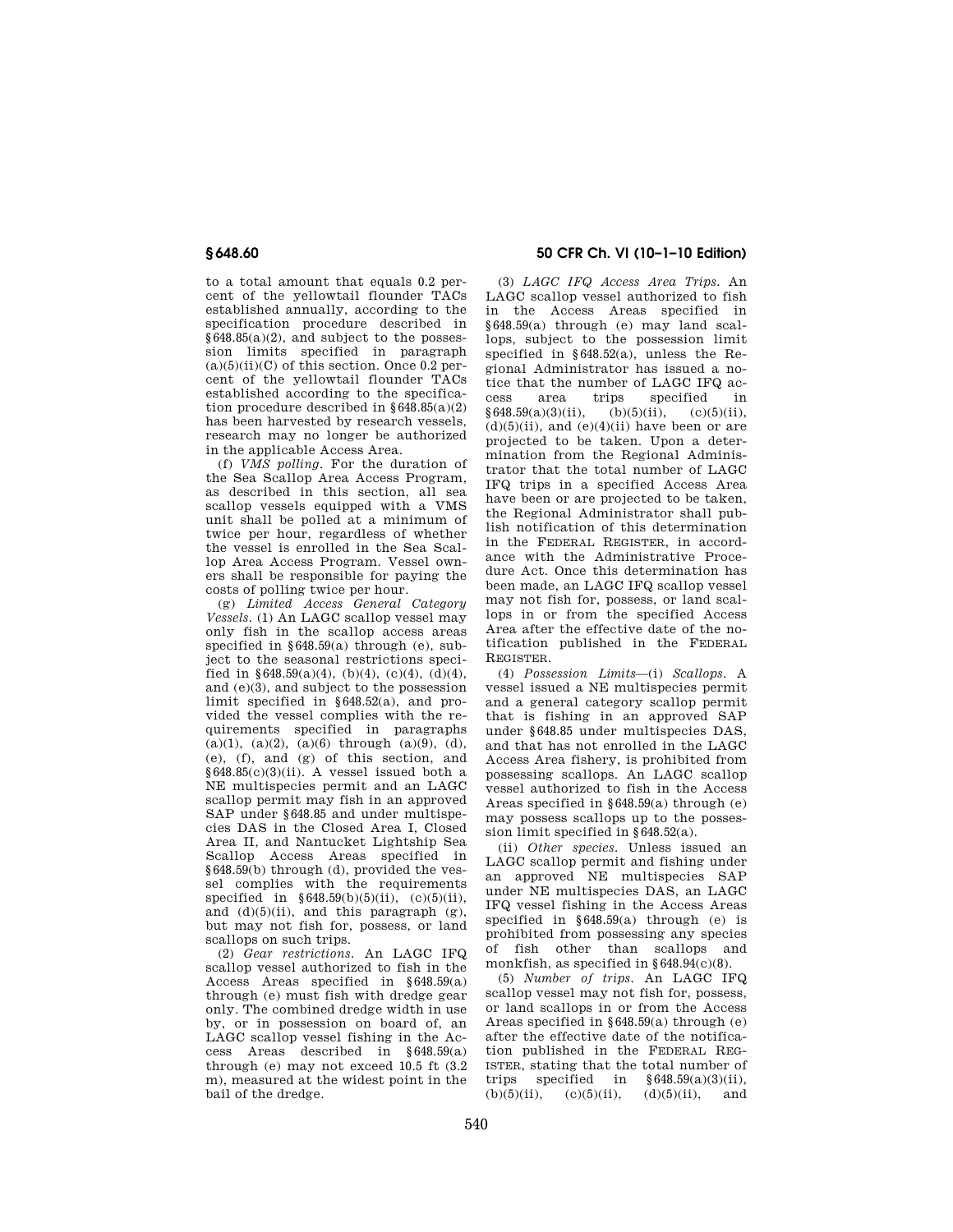to a total amount that equals 0.2 percent of the yellowtail flounder TACs established annually, according to the specification procedure described in §648.85(a)(2), and subject to the possession limits specified in paragraph  $(a)(5)(ii)(C)$  of this section. Once 0.2 percent of the yellowtail flounder TACs established according to the specification procedure described in §648.85(a)(2) has been harvested by research vessels, research may no longer be authorized in the applicable Access Area.

(f) *VMS polling.* For the duration of the Sea Scallop Area Access Program, as described in this section, all sea scallop vessels equipped with a VMS unit shall be polled at a minimum of twice per hour, regardless of whether the vessel is enrolled in the Sea Scallop Area Access Program. Vessel owners shall be responsible for paying the costs of polling twice per hour.

(g) *Limited Access General Category Vessels.* (1) An LAGC scallop vessel may only fish in the scallop access areas specified in  $648.59(a)$  through (e), subject to the seasonal restrictions specified in §648.59(a)(4), (b)(4), (c)(4), (d)(4), and (e)(3), and subject to the possession limit specified in §648.52(a), and provided the vessel complies with the requirements specified in paragraphs  $(a)(1)$ ,  $(a)(2)$ ,  $(a)(6)$  through  $(a)(9)$ ,  $(d)$ , (e), (f), and (g) of this section, and  $§648.85(c)(3)(ii)$ . A vessel issued both a NE multispecies permit and an LAGC scallop permit may fish in an approved SAP under §648.85 and under multispecies DAS in the Closed Area I, Closed Area II, and Nantucket Lightship Sea Scallop Access Areas specified in §648.59(b) through (d), provided the vessel complies with the requirements specified in  $§648.59(b)(5)(ii)$ , (c)(5)(ii), and  $(d)(5)(ii)$ , and this paragraph  $(g)$ , but may not fish for, possess, or land scallops on such trips.

(2) *Gear restrictions.* An LAGC IFQ scallop vessel authorized to fish in the Access Areas specified in §648.59(a) through (e) must fish with dredge gear only. The combined dredge width in use by, or in possession on board of, an LAGC scallop vessel fishing in the Access Areas described in §648.59(a) through (e) may not exceed 10.5 ft (3.2 m), measured at the widest point in the bail of the dredge.

# **§ 648.60 50 CFR Ch. VI (10–1–10 Edition)**

(3) *LAGC IFQ Access Area Trips.* An LAGC scallop vessel authorized to fish in the Access Areas specified in §648.59(a) through (e) may land scallops, subject to the possession limit specified in §648.52(a), unless the Regional Administrator has issued a notice that the number of LAGC IFQ access area trips specified in  $§648.59(a)(3)(ii),$  (b)(5)(ii), (c)(5)(ii),  $(d)(5)(ii)$ , and  $(e)(4)(ii)$  have been or are projected to be taken. Upon a determination from the Regional Administrator that the total number of LAGC IFQ trips in a specified Access Area have been or are projected to be taken, the Regional Administrator shall publish notification of this determination in the FEDERAL REGISTER, in accordance with the Administrative Procedure Act. Once this determination has been made, an LAGC IFQ scallop vessel may not fish for, possess, or land scallops in or from the specified Access Area after the effective date of the notification published in the FEDERAL REGISTER.

(4) *Possession Limits*—(i) *Scallops.* A vessel issued a NE multispecies permit and a general category scallop permit that is fishing in an approved SAP under §648.85 under multispecies DAS, and that has not enrolled in the LAGC Access Area fishery, is prohibited from possessing scallops. An LAGC scallop vessel authorized to fish in the Access Areas specified in §648.59(a) through (e) may possess scallops up to the possession limit specified in §648.52(a).

(ii) *Other species.* Unless issued an LAGC scallop permit and fishing under an approved NE multispecies SAP under NE multispecies DAS, an LAGC IFQ vessel fishing in the Access Areas specified in §648.59(a) through (e) is prohibited from possessing any species of fish other than scallops and monkfish, as specified in  $§648.94(c)(8)$ .

(5) *Number of trips.* An LAGC IFQ scallop vessel may not fish for, possess, or land scallops in or from the Access Areas specified in §648.59(a) through (e) after the effective date of the notification published in the FEDERAL REG-ISTER, stating that the total number of trips specified in  $§ 648.59(a)(3)(ii)$ ,<br>(b)(5)(ii), (c)(5)(ii), (d)(5)(ii), and  $(c)(5)(ii)$ ,  $(d)(5)(ii)$ , and